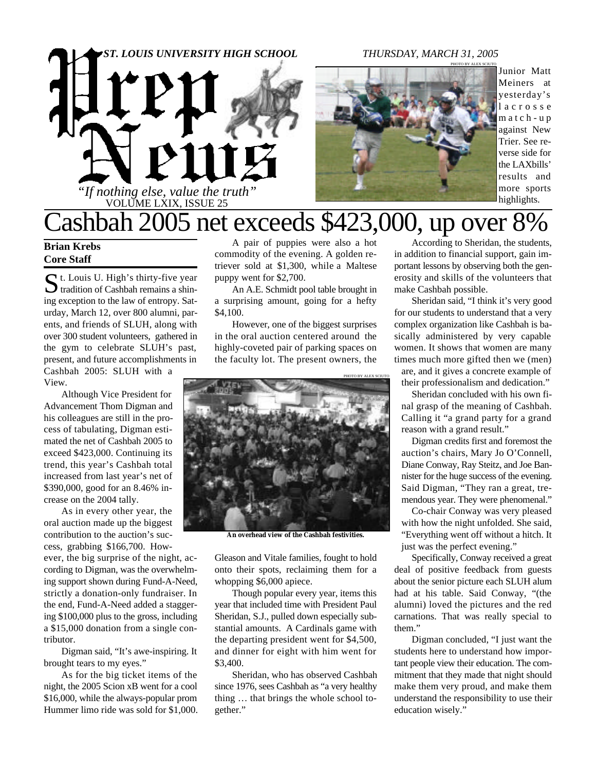# *"If nothing else, value the truth"* VOLUME LXIX, ISSUE 25 *ST. LOUIS UNIVERSITY HIGH SCHOOL THURSDAY, MARCH 31, 2005*



Junior Matt Meiners at yesterday's l a c r o s s e m a t c h - u p against New Trier. See reverse side for the LAXbills' results and more sports highlights.

### Cashbah 2005 net exceeds \$423,000, up over 8%

### **Brian Krebs Core Staff**

S t. Louis U. High's thirty-five year<br>tradition of Cashbah remains a shint. Louis U. High's thirty-five year ing exception to the law of entropy. Saturday, March 12, over 800 alumni, parents, and friends of SLUH, along with over 300 student volunteers, gathered in the gym to celebrate SLUH's past, present, and future accomplishments in Cashbah 2005: SLUH with a View.

Although Vice President for Advancement Thom Digman and his colleagues are still in the process of tabulating, Digman estimated the net of Cashbah 2005 to exceed \$423,000. Continuing its trend, this year's Cashbah total increased from last year's net of \$390,000, good for an 8.46% increase on the 2004 tally.

As in every other year, the oral auction made up the biggest contribution to the auction's success, grabbing \$166,700. How-

ever, the big surprise of the night, according to Digman, was the overwhelming support shown during Fund-A-Need, strictly a donation-only fundraiser. In the end, Fund-A-Need added a staggering \$100,000 plus to the gross, including a \$15,000 donation from a single contributor.

Digman said, "It's awe-inspiring. It brought tears to my eyes."

As for the big ticket items of the night, the 2005 Scion xB went for a cool \$16,000, while the always-popular prom Hummer limo ride was sold for \$1,000.

A pair of puppies were also a hot commodity of the evening. A golden retriever sold at \$1,300, while a Maltese puppy went for \$2,700.

An A.E. Schmidt pool table brought in a surprising amount, going for a hefty \$4,100.

However, one of the biggest surprises in the oral auction centered around the highly-coveted pair of parking spaces on the faculty lot. The present owners, the



**An overhead view of the Cashbah festivities.**

Gleason and Vitale families, fought to hold onto their spots, reclaiming them for a whopping \$6,000 apiece.

Though popular every year, items this year that included time with President Paul Sheridan, S.J., pulled down especially substantial amounts. A Cardinals game with the departing president went for \$4,500, and dinner for eight with him went for \$3,400.

Sheridan, who has observed Cashbah since 1976, sees Cashbah as "a very healthy thing … that brings the whole school together."

According to Sheridan, the students, in addition to financial support, gain important lessons by observing both the generosity and skills of the volunteers that make Cashbah possible.

Sheridan said, "I think it's very good for our students to understand that a very complex organization like Cashbah is basically administered by very capable women. It shows that women are many times much more gifted then we (men)

are, and it gives a concrete example of their professionalism and dedication."

Sheridan concluded with his own final grasp of the meaning of Cashbah. Calling it "a grand party for a grand reason with a grand result."

Digman credits first and foremost the auction's chairs, Mary Jo O'Connell, Diane Conway, Ray Steitz, and Joe Bannister for the huge success of the evening. Said Digman, "They ran a great, tremendous year. They were phenomenal."

Co-chair Conway was very pleased with how the night unfolded. She said, "Everything went off without a hitch. It just was the perfect evening."

Specifically, Conway received a great deal of positive feedback from guests about the senior picture each SLUH alum had at his table. Said Conway, "(the alumni) loved the pictures and the red carnations. That was really special to them."

Digman concluded, "I just want the students here to understand how important people view their education. The commitment that they made that night should make them very proud, and make them understand the responsibility to use their education wisely."